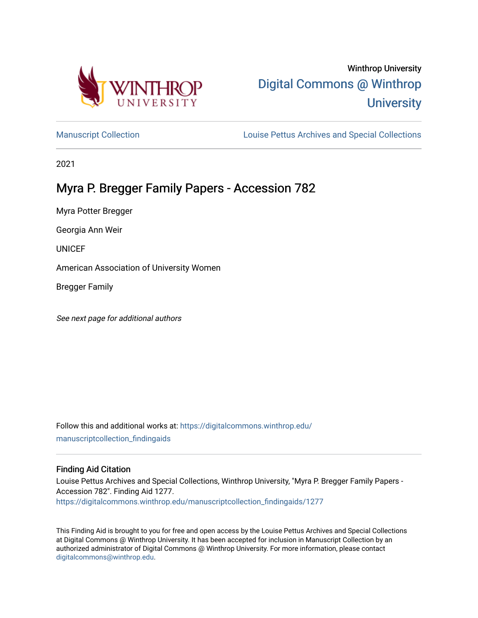

# Winthrop University [Digital Commons @ Winthrop](https://digitalcommons.winthrop.edu/)  **University**

[Manuscript Collection](https://digitalcommons.winthrop.edu/manuscriptcollection_findingaids) **Louise Pettus Archives and Special Collections** 

2021

# Myra P. Bregger Family Papers - Accession 782

Myra Potter Bregger

Georgia Ann Weir

UNICEF

American Association of University Women

Bregger Family

See next page for additional authors

Follow this and additional works at: [https://digitalcommons.winthrop.edu/](https://digitalcommons.winthrop.edu/manuscriptcollection_findingaids?utm_source=digitalcommons.winthrop.edu%2Fmanuscriptcollection_findingaids%2F1277&utm_medium=PDF&utm_campaign=PDFCoverPages) [manuscriptcollection\\_findingaids](https://digitalcommons.winthrop.edu/manuscriptcollection_findingaids?utm_source=digitalcommons.winthrop.edu%2Fmanuscriptcollection_findingaids%2F1277&utm_medium=PDF&utm_campaign=PDFCoverPages) 

## Finding Aid Citation

Louise Pettus Archives and Special Collections, Winthrop University, "Myra P. Bregger Family Papers - Accession 782". Finding Aid 1277. [https://digitalcommons.winthrop.edu/manuscriptcollection\\_findingaids/1277](https://digitalcommons.winthrop.edu/manuscriptcollection_findingaids/1277?utm_source=digitalcommons.winthrop.edu%2Fmanuscriptcollection_findingaids%2F1277&utm_medium=PDF&utm_campaign=PDFCoverPages) 

This Finding Aid is brought to you for free and open access by the Louise Pettus Archives and Special Collections at Digital Commons @ Winthrop University. It has been accepted for inclusion in Manuscript Collection by an authorized administrator of Digital Commons @ Winthrop University. For more information, please contact [digitalcommons@winthrop.edu](mailto:digitalcommons@winthrop.edu).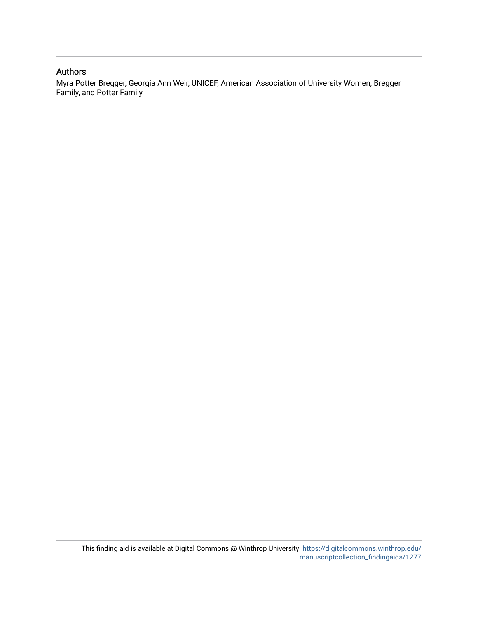### Authors

Myra Potter Bregger, Georgia Ann Weir, UNICEF, American Association of University Women, Bregger Family, and Potter Family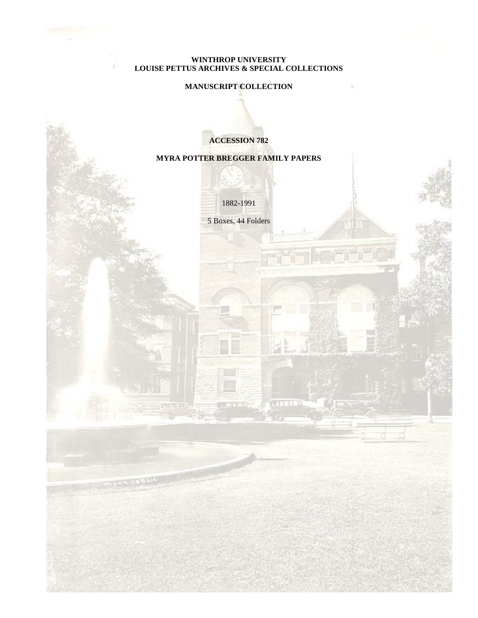#### **WINTHROP UNIVERSITY LOUISE PETTUS ARCHIVES & SPECIAL COLLECTIONS**

ă.

# **MANUSCRIPT COLLECTION**

**ACCESSION 782**

### **MYRA POTTER BREGGER FAMILY PAPERS**

1882-1991

5 Boxes, 44 Folders

**TERR**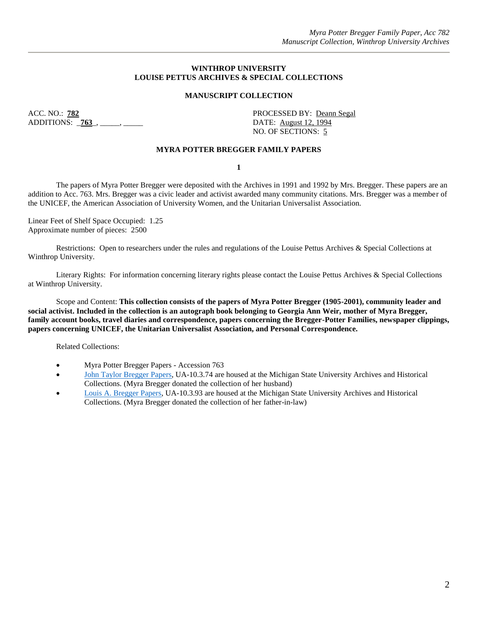#### **WINTHROP UNIVERSITY LOUISE PETTUS ARCHIVES & SPECIAL COLLECTIONS**

#### **MANUSCRIPT COLLECTION**

ACC. NO.: **782** PROCESSED BY: Deann Segal ADDITIONS: **763**, \_\_\_\_, \_\_\_\_\_, DATE: August 12, 1994

NO. OF SECTIONS: 5

#### **MYRA POTTER BREGGER FAMILY PAPERS**

**1**

The papers of Myra Potter Bregger were deposited with the Archives in 1991 and 1992 by Mrs. Bregger. These papers are an addition to Acc. 763. Mrs. Bregger was a civic leader and activist awarded many community citations. Mrs. Bregger was a member of the UNICEF, the American Association of University Women, and the Unitarian Universalist Association.

Linear Feet of Shelf Space Occupied: 1.25 Approximate number of pieces: 2500

Restrictions: Open to researchers under the rules and regulations of the Louise Pettus Archives & Special Collections at Winthrop University.

Literary Rights: For information concerning literary rights please contact the Louise Pettus Archives & Special Collections at Winthrop University.

Scope and Content: **This collection consists of the papers of Myra Potter Bregger (1905-2001), community leader and social activist. Included in the collection is an autograph book belonging to Georgia Ann Weir, mother of Myra Bregger, family account books, travel diaries and correspondence, papers concerning the Bregger-Potter Families, newspaper clippings, papers concerning UNICEF, the Unitarian Universalist Association, and Personal Correspondence.** 

Related Collections:

- Myra Potter Bregger Papers Accession 763
- John [Taylor Bregger Papers,](https://findingaids.lib.msu.edu/repositories/2/resources/3) UA-10.3.74 are housed at the Michigan State University Archives and Historical Collections. (Myra Bregger donated the collection of her husband)
- [Louis A. Bregger Papers,](https://findingaids.lib.msu.edu/repositories/2/resources/1904) UA-10.3.93 are housed at the Michigan State University Archives and Historical Collections. (Myra Bregger donated the collection of her father-in-law)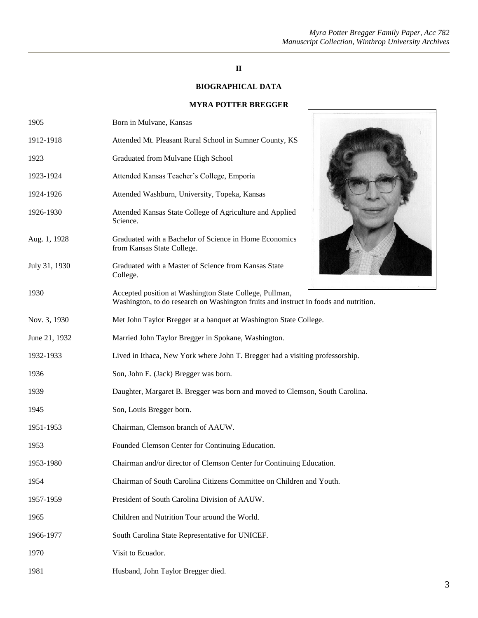#### *Myra Potter Bregger Family Paper, Acc 782 Manuscript Collection, Winthrop University Archives*

 $\overline{r}$ 

## **II**

## **BIOGRAPHICAL DATA**

## **MYRA POTTER BREGGER**

| 1905          | Born in Mulvane, Kansas                                                                                                                         |
|---------------|-------------------------------------------------------------------------------------------------------------------------------------------------|
| 1912-1918     | Attended Mt. Pleasant Rural School in Sumner County, KS                                                                                         |
| 1923          | Graduated from Mulvane High School                                                                                                              |
| 1923-1924     | Attended Kansas Teacher's College, Emporia                                                                                                      |
| 1924-1926     | Attended Washburn, University, Topeka, Kansas                                                                                                   |
| 1926-1930     | Attended Kansas State College of Agriculture and Applied<br>Science.                                                                            |
| Aug. 1, 1928  | Graduated with a Bachelor of Science in Home Economics<br>from Kansas State College.                                                            |
| July 31, 1930 | Graduated with a Master of Science from Kansas State<br>College.                                                                                |
| 1930          | Accepted position at Washington State College, Pullman,<br>Washington, to do research on Washington fruits and instruct in foods and nutrition. |
| Nov. 3, 1930  | Met John Taylor Bregger at a banquet at Washington State College.                                                                               |
| June 21, 1932 | Married John Taylor Bregger in Spokane, Washington.                                                                                             |
| 1932-1933     | Lived in Ithaca, New York where John T. Bregger had a visiting professorship.                                                                   |
| 1936          | Son, John E. (Jack) Bregger was born.                                                                                                           |
| 1939          | Daughter, Margaret B. Bregger was born and moved to Clemson, South Carolina.                                                                    |
| 1945          | Son, Louis Bregger born.                                                                                                                        |
| 1951-1953     | Chairman, Clemson branch of AAUW.                                                                                                               |
| 1953          | Founded Clemson Center for Continuing Education.                                                                                                |
| 1953-1980     | Chairman and/or director of Clemson Center for Continuing Education.                                                                            |
| 1954          | Chairman of South Carolina Citizens Committee on Children and Youth.                                                                            |
| 1957-1959     | President of South Carolina Division of AAUW.                                                                                                   |
| 1965          | Children and Nutrition Tour around the World.                                                                                                   |
| 1966-1977     | South Carolina State Representative for UNICEF.                                                                                                 |
| 1970          | Visit to Ecuador.                                                                                                                               |
| 1981          | Husband, John Taylor Bregger died.                                                                                                              |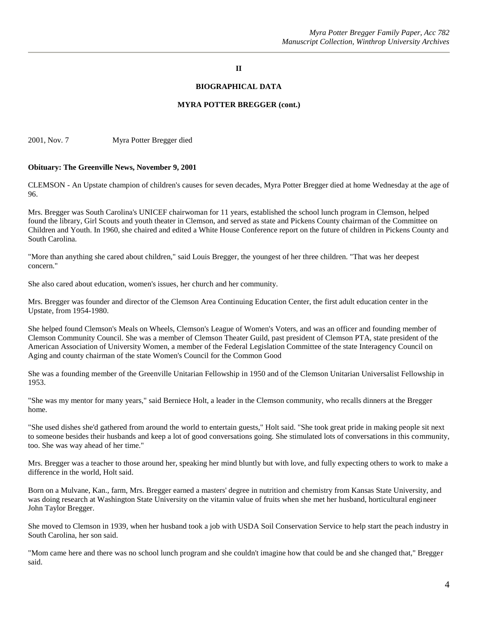#### **II**

#### **BIOGRAPHICAL DATA**

#### **MYRA POTTER BREGGER (cont.)**

2001, Nov. 7 Myra Potter Bregger died

#### **Obituary: The Greenville News, November 9, 2001**

CLEMSON - An Upstate champion of children's causes for seven decades, Myra Potter Bregger died at home Wednesday at the age of 96.

Mrs. Bregger was South Carolina's UNICEF chairwoman for 11 years, established the school lunch program in Clemson, helped found the library, Girl Scouts and youth theater in Clemson, and served as state and Pickens County chairman of the Committee on Children and Youth. In 1960, she chaired and edited a White House Conference report on the future of children in Pickens County and South Carolina.

"More than anything she cared about children," said Louis Bregger, the youngest of her three children. "That was her deepest concern."

She also cared about education, women's issues, her church and her community.

Mrs. Bregger was founder and director of the Clemson Area Continuing Education Center, the first adult education center in the Upstate, from 1954-1980.

She helped found Clemson's Meals on Wheels, Clemson's League of Women's Voters, and was an officer and founding member of Clemson Community Council. She was a member of Clemson Theater Guild, past president of Clemson PTA, state president of the American Association of University Women, a member of the Federal Legislation Committee of the state Interagency Council on Aging and county chairman of the state Women's Council for the Common Good

She was a founding member of the Greenville Unitarian Fellowship in 1950 and of the Clemson Unitarian Universalist Fellowship in 1953.

"She was my mentor for many years," said Berniece Holt, a leader in the Clemson community, who recalls dinners at the Bregger home.

"She used dishes she'd gathered from around the world to entertain guests," Holt said. "She took great pride in making people sit next to someone besides their husbands and keep a lot of good conversations going. She stimulated lots of conversations in this community, too. She was way ahead of her time."

Mrs. Bregger was a teacher to those around her, speaking her mind bluntly but with love, and fully expecting others to work to make a difference in the world, Holt said.

Born on a Mulvane, Kan., farm, Mrs. Bregger earned a masters' degree in nutrition and chemistry from Kansas State University, and was doing research at Washington State University on the vitamin value of fruits when she met her husband, horticultural engineer John Taylor Bregger.

She moved to Clemson in 1939, when her husband took a job with USDA Soil Conservation Service to help start the peach industry in South Carolina, her son said.

"Mom came here and there was no school lunch program and she couldn't imagine how that could be and she changed that," Bregger said.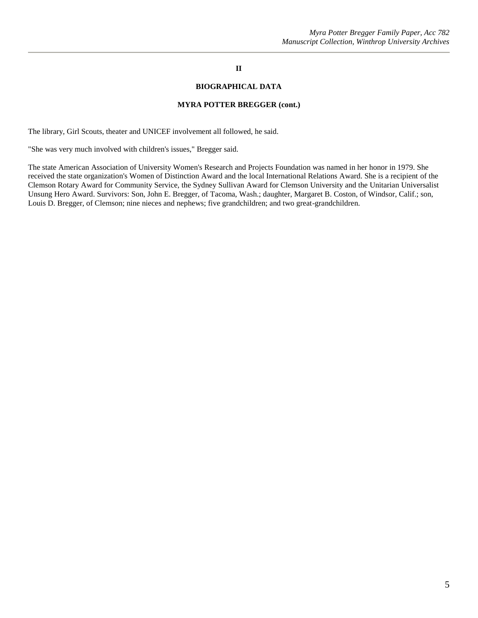## **II**

#### **BIOGRAPHICAL DATA**

#### **MYRA POTTER BREGGER (cont.)**

The library, Girl Scouts, theater and UNICEF involvement all followed, he said.

"She was very much involved with children's issues," Bregger said.

The state American Association of University Women's Research and Projects Foundation was named in her honor in 1979. She received the state organization's Women of Distinction Award and the local International Relations Award. She is a recipient of the Clemson Rotary Award for Community Service, the Sydney Sullivan Award for Clemson University and the Unitarian Universalist Unsung Hero Award. Survivors: Son, John E. Bregger, of Tacoma, Wash.; daughter, Margaret B. Coston, of Windsor, Calif.; son, Louis D. Bregger, of Clemson; nine nieces and nephews; five grandchildren; and two great-grandchildren.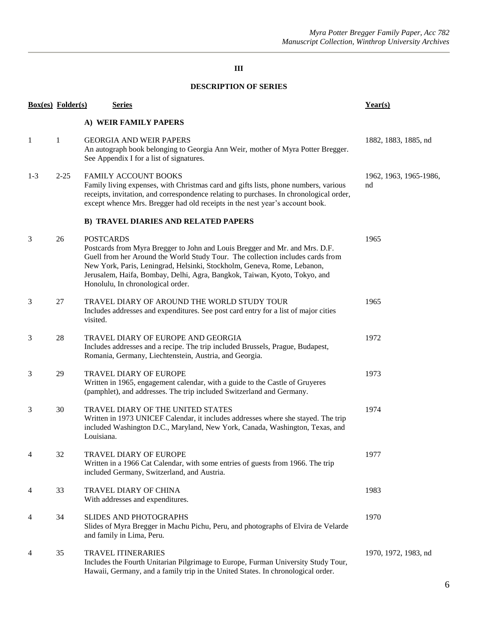# **III**

## **DESCRIPTION OF SERIES**

|         | <b>Box(es)</b> Folder(s) | <b>Series</b>                                                                                                                                                                                                                                                                                                                                                                  | Year(s)                      |
|---------|--------------------------|--------------------------------------------------------------------------------------------------------------------------------------------------------------------------------------------------------------------------------------------------------------------------------------------------------------------------------------------------------------------------------|------------------------------|
|         |                          | A) WEIR FAMILY PAPERS                                                                                                                                                                                                                                                                                                                                                          |                              |
| -1      | 1                        | <b>GEORGIA AND WEIR PAPERS</b><br>An autograph book belonging to Georgia Ann Weir, mother of Myra Potter Bregger.<br>See Appendix I for a list of signatures.                                                                                                                                                                                                                  | 1882, 1883, 1885, nd         |
| $1 - 3$ | $2 - 25$                 | <b>FAMILY ACCOUNT BOOKS</b><br>Family living expenses, with Christmas card and gifts lists, phone numbers, various<br>receipts, invitation, and correspondence relating to purchases. In chronological order,<br>except whence Mrs. Bregger had old receipts in the nest year's account book.                                                                                  | 1962, 1963, 1965-1986,<br>nd |
|         |                          | <b>B) TRAVEL DIARIES AND RELATED PAPERS</b>                                                                                                                                                                                                                                                                                                                                    |                              |
| 3       | 26                       | <b>POSTCARDS</b><br>Postcards from Myra Bregger to John and Louis Bregger and Mr. and Mrs. D.F.<br>Guell from her Around the World Study Tour. The collection includes cards from<br>New York, Paris, Leningrad, Helsinki, Stockholm, Geneva, Rome, Lebanon,<br>Jerusalem, Haifa, Bombay, Delhi, Agra, Bangkok, Taiwan, Kyoto, Tokyo, and<br>Honolulu, In chronological order. | 1965                         |
| 3       | 27                       | TRAVEL DIARY OF AROUND THE WORLD STUDY TOUR<br>Includes addresses and expenditures. See post card entry for a list of major cities<br>visited.                                                                                                                                                                                                                                 | 1965                         |
| 3       | 28                       | TRAVEL DIARY OF EUROPE AND GEORGIA<br>Includes addresses and a recipe. The trip included Brussels, Prague, Budapest,<br>Romania, Germany, Liechtenstein, Austria, and Georgia.                                                                                                                                                                                                 | 1972                         |
| 3       | 29                       | TRAVEL DIARY OF EUROPE<br>Written in 1965, engagement calendar, with a guide to the Castle of Gruyeres<br>(pamphlet), and addresses. The trip included Switzerland and Germany.                                                                                                                                                                                                | 1973                         |
| 3       | 30                       | TRAVEL DIARY OF THE UNITED STATES<br>Written in 1973 UNICEF Calendar, it includes addresses where she stayed. The trip<br>included Washington D.C., Maryland, New York, Canada, Washington, Texas, and<br>Louisiana.                                                                                                                                                           | 1974                         |
| 4       | 32                       | <b>TRAVEL DIARY OF EUROPE</b><br>Written in a 1966 Cat Calendar, with some entries of guests from 1966. The trip<br>included Germany, Switzerland, and Austria.                                                                                                                                                                                                                | 1977                         |
| 4       | 33                       | TRAVEL DIARY OF CHINA<br>With addresses and expenditures.                                                                                                                                                                                                                                                                                                                      | 1983                         |
| 4       | 34                       | <b>SLIDES AND PHOTOGRAPHS</b><br>Slides of Myra Bregger in Machu Pichu, Peru, and photographs of Elvira de Velarde<br>and family in Lima, Peru.                                                                                                                                                                                                                                | 1970                         |
| 4       | 35                       | <b>TRAVEL ITINERARIES</b><br>Includes the Fourth Unitarian Pilgrimage to Europe, Furman University Study Tour,<br>Hawaii, Germany, and a family trip in the United States. In chronological order.                                                                                                                                                                             | 1970, 1972, 1983, nd         |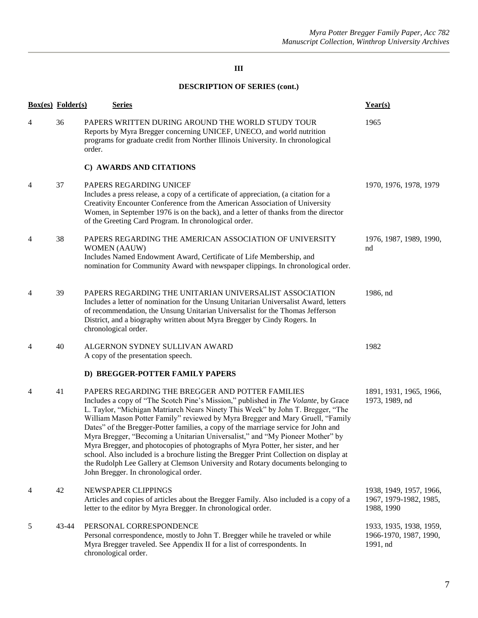# **III**

# **DESCRIPTION OF SERIES (cont.)**

|                | <b>Box(es)</b> Folder(s) | <b>Series</b>                                                                                                                                                                                                                                                                                                                                                                                                                                                                                                                                                                                                                                                                                                                                                                                | Year(s)                                                         |
|----------------|--------------------------|----------------------------------------------------------------------------------------------------------------------------------------------------------------------------------------------------------------------------------------------------------------------------------------------------------------------------------------------------------------------------------------------------------------------------------------------------------------------------------------------------------------------------------------------------------------------------------------------------------------------------------------------------------------------------------------------------------------------------------------------------------------------------------------------|-----------------------------------------------------------------|
| 4              | 36                       | PAPERS WRITTEN DURING AROUND THE WORLD STUDY TOUR<br>Reports by Myra Bregger concerning UNICEF, UNECO, and world nutrition<br>programs for graduate credit from Norther Illinois University. In chronological<br>order.                                                                                                                                                                                                                                                                                                                                                                                                                                                                                                                                                                      | 1965                                                            |
|                |                          | C) AWARDS AND CITATIONS                                                                                                                                                                                                                                                                                                                                                                                                                                                                                                                                                                                                                                                                                                                                                                      |                                                                 |
| 4              | 37                       | PAPERS REGARDING UNICEF<br>Includes a press release, a copy of a certificate of appreciation, (a citation for a<br>Creativity Encounter Conference from the American Association of University<br>Women, in September 1976 is on the back), and a letter of thanks from the director<br>of the Greeting Card Program. In chronological order.                                                                                                                                                                                                                                                                                                                                                                                                                                                | 1970, 1976, 1978, 1979                                          |
| 4              | 38                       | PAPERS REGARDING THE AMERICAN ASSOCIATION OF UNIVERSITY<br><b>WOMEN (AAUW)</b><br>Includes Named Endowment Award, Certificate of Life Membership, and<br>nomination for Community Award with newspaper clippings. In chronological order.                                                                                                                                                                                                                                                                                                                                                                                                                                                                                                                                                    | 1976, 1987, 1989, 1990,<br>nd                                   |
| $\overline{4}$ | 39                       | PAPERS REGARDING THE UNITARIAN UNIVERSALIST ASSOCIATION<br>Includes a letter of nomination for the Unsung Unitarian Universalist Award, letters<br>of recommendation, the Unsung Unitarian Universalist for the Thomas Jefferson<br>District, and a biography written about Myra Bregger by Cindy Rogers. In<br>chronological order.                                                                                                                                                                                                                                                                                                                                                                                                                                                         | 1986, nd                                                        |
| 4              | 40                       | ALGERNON SYDNEY SULLIVAN AWARD<br>A copy of the presentation speech.                                                                                                                                                                                                                                                                                                                                                                                                                                                                                                                                                                                                                                                                                                                         | 1982                                                            |
|                |                          | D) BREGGER-POTTER FAMILY PAPERS                                                                                                                                                                                                                                                                                                                                                                                                                                                                                                                                                                                                                                                                                                                                                              |                                                                 |
| $\overline{4}$ | 41                       | PAPERS REGARDING THE BREGGER AND POTTER FAMILIES<br>Includes a copy of "The Scotch Pine's Mission," published in The Volante, by Grace<br>L. Taylor, "Michigan Matriarch Nears Ninety This Week" by John T. Bregger, "The<br>William Mason Potter Family" reviewed by Myra Bregger and Mary Gruell, "Family<br>Dates" of the Bregger-Potter families, a copy of the marriage service for John and<br>Myra Bregger, "Becoming a Unitarian Universalist," and "My Pioneer Mother" by<br>Myra Bregger, and photocopies of photographs of Myra Potter, her sister, and her<br>school. Also included is a brochure listing the Bregger Print Collection on display at<br>the Rudolph Lee Gallery at Clemson University and Rotary documents belonging to<br>John Bregger. In chronological order. | 1891, 1931, 1965, 1966,<br>1973, 1989, nd                       |
| 4              | 42                       | NEWSPAPER CLIPPINGS<br>Articles and copies of articles about the Bregger Family. Also included is a copy of a<br>letter to the editor by Myra Bregger. In chronological order.                                                                                                                                                                                                                                                                                                                                                                                                                                                                                                                                                                                                               | 1938, 1949, 1957, 1966,<br>1967, 1979-1982, 1985,<br>1988, 1990 |
| 5              | 43-44                    | PERSONAL CORRESPONDENCE<br>Personal correspondence, mostly to John T. Bregger while he traveled or while<br>Myra Bregger traveled. See Appendix II for a list of correspondents. In<br>chronological order.                                                                                                                                                                                                                                                                                                                                                                                                                                                                                                                                                                                  | 1933, 1935, 1938, 1959,<br>1966-1970, 1987, 1990,<br>1991, nd   |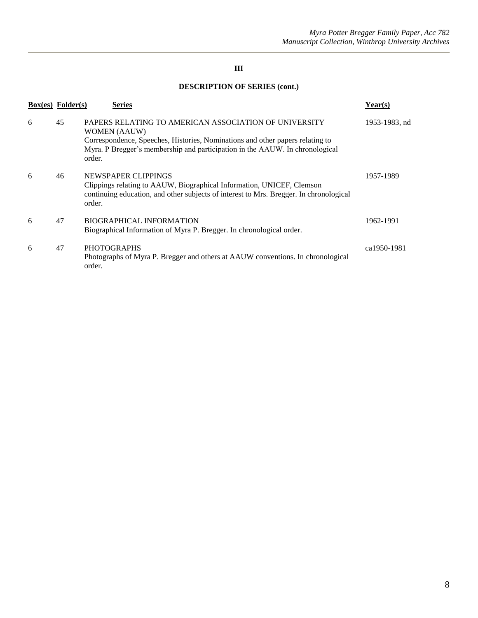# **III**

# **DESCRIPTION OF SERIES (cont.)**

|   | $Box(es)$ Folder $(s)$ | <b>Series</b>                                                                                                                                                                                                                                           | Year(s)       |
|---|------------------------|---------------------------------------------------------------------------------------------------------------------------------------------------------------------------------------------------------------------------------------------------------|---------------|
| 6 | 45                     | PAPERS RELATING TO AMERICAN ASSOCIATION OF UNIVERSITY<br><b>WOMEN (AAUW)</b><br>Correspondence, Speeches, Histories, Nominations and other papers relating to<br>Myra. P Bregger's membership and participation in the AAUW. In chronological<br>order. | 1953-1983, nd |
| 6 | 46                     | NEWSPAPER CLIPPINGS<br>Clippings relating to AAUW, Biographical Information, UNICEF, Clemson<br>continuing education, and other subjects of interest to Mrs. Bregger. In chronological<br>order.                                                        | 1957-1989     |
| 6 | 47                     | <b>BIOGRAPHICAL INFORMATION</b><br>Biographical Information of Myra P. Bregger. In chronological order.                                                                                                                                                 | 1962-1991     |
| 6 | 47                     | <b>PHOTOGRAPHS</b><br>Photographs of Myra P. Bregger and others at AAUW conventions. In chronological<br>order.                                                                                                                                         | ca1950-1981   |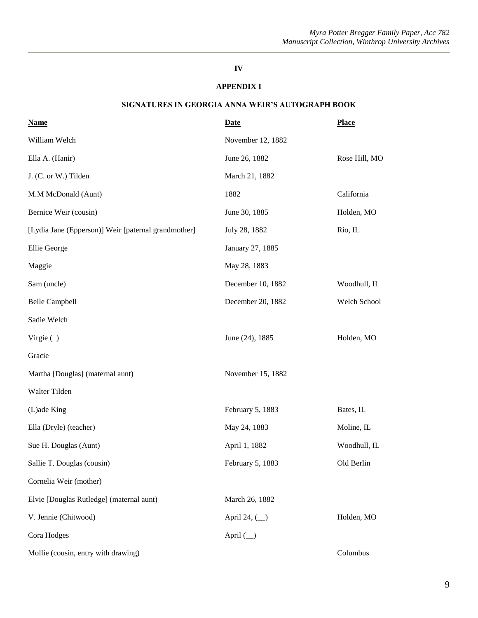# **IV**

## **APPENDIX I**

## **SIGNATURES IN GEORGIA ANNA WEIR'S AUTOGRAPH BOOK**

| <b>Name</b>                                         | <b>Date</b>       | <b>Place</b>  |
|-----------------------------------------------------|-------------------|---------------|
| William Welch                                       | November 12, 1882 |               |
| Ella A. (Hanir)                                     | June 26, 1882     | Rose Hill, MO |
| J. (C. or W.) Tilden                                | March 21, 1882    |               |
| M.M McDonald (Aunt)                                 | 1882              | California    |
| Bernice Weir (cousin)                               | June 30, 1885     | Holden, MO    |
| [Lydia Jane (Epperson)] Weir [paternal grandmother] | July 28, 1882     | Rio, IL       |
| Ellie George                                        | January 27, 1885  |               |
| Maggie                                              | May 28, 1883      |               |
| Sam (uncle)                                         | December 10, 1882 | Woodhull, IL  |
| <b>Belle Campbell</b>                               | December 20, 1882 | Welch School  |
| Sadie Welch                                         |                   |               |
| Virgie $( )$                                        | June (24), 1885   | Holden, MO    |
| Gracie                                              |                   |               |
| Martha [Douglas] (maternal aunt)                    | November 15, 1882 |               |
| Walter Tilden                                       |                   |               |
| (L)ade King                                         | February 5, 1883  | Bates, IL     |
| Ella (Dryle) (teacher)                              | May 24, 1883      | Moline, IL    |
| Sue H. Douglas (Aunt)                               | April 1, 1882     | Woodhull, IL  |
| Sallie T. Douglas (cousin)                          | February 5, 1883  | Old Berlin    |
| Cornelia Weir (mother)                              |                   |               |
| Elvie [Douglas Rutledge] (maternal aunt)            | March 26, 1882    |               |
| V. Jennie (Chitwood)                                | April 24, $(\_)$  | Holden, MO    |
| Cora Hodges                                         | April $(\_)$      |               |
| Mollie (cousin, entry with drawing)                 |                   | Columbus      |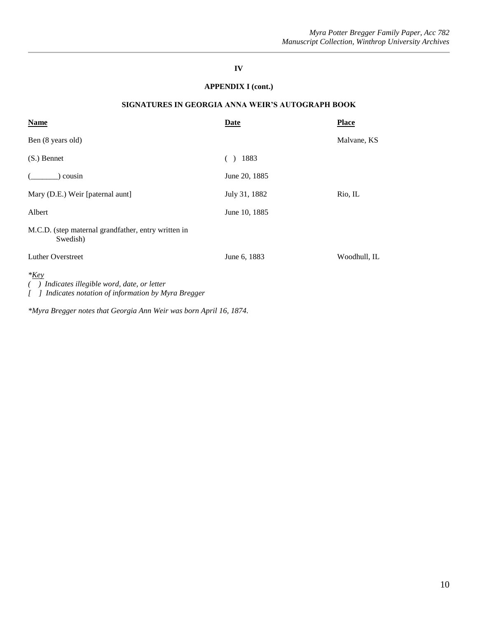## **IV**

## **APPENDIX I (cont.)**

## **SIGNATURES IN GEORGIA ANNA WEIR'S AUTOGRAPH BOOK**

| <b>Name</b>                                                                                                 | Date          | <b>Place</b> |
|-------------------------------------------------------------------------------------------------------------|---------------|--------------|
| Ben (8 years old)                                                                                           |               | Malvane, KS  |
| $(S.)$ Bennet                                                                                               | 1883          |              |
| cousin                                                                                                      | June 20, 1885 |              |
| Mary (D.E.) Weir [paternal aunt]                                                                            | July 31, 1882 | Rio, IL      |
| Albert                                                                                                      | June 10, 1885 |              |
| M.C.D. (step maternal grandfather, entry written in<br>Swedish)                                             |               |              |
| <b>Luther Overstreet</b>                                                                                    | June 6, 1883  | Woodhull, IL |
| $*_{Key}$<br>Indicates illegible word, date, or letter<br>Indicates notation of information by Myra Bregger |               |              |

*\*Myra Bregger notes that Georgia Ann Weir was born April 16, 1874.*